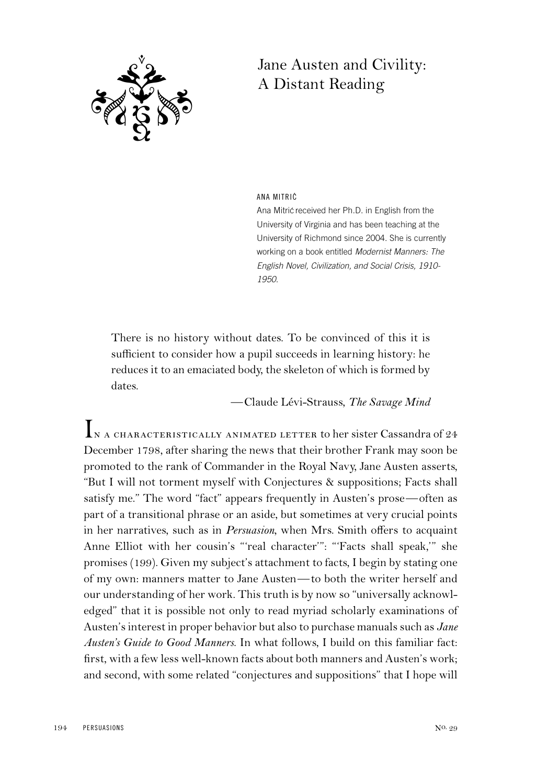

# Jane Austen and Civility: A Distant Reading

ANA MITRIC´

Ana Mitric received her Ph.D. in English from the University of Virginia and has been teaching at the University of Richmond since 2004. She is currently working on a book entitled Modernist Manners: The English Novel, Civilization, and Social Crisis, 1910- 1950.

There is no history without dates. To be convinced of this it is sufficient to consider how a pupil succeeds in learning history: he reduces it to an emaciated body, the skeleton of which is formed by dates.

—Claude Lévi-Strauss, *The Savage Mind*

IN A CHARACTERISTICALLY ANIMATED LETTER to her sister Cassandra of 24 December 1798, after sharing the news that their brother Frank may soon be promoted to the rank of Commander in the Royal Navy, Jane Austen asserts, "But I will not torment myself with Conjectures & suppositions; Facts shall satisfy me." The word "fact" appears frequently in Austen's prose—often as part of a transitional phrase or an aside, but sometimes at very crucial points in her narratives, such as in *Persuasion*, when Mrs. Smith offers to acquaint Anne Elliot with her cousin's "'real character'": "'Facts shall speak,'" she promises (199). Given my subject's attachment to facts, I begin by stating one of my own: manners matter to Jane Austen—to both the writer herself and our understanding of her work. This truth is by now so "universally acknowledged" that it is possible not only to read myriad scholarly examinations of Austen's interest in proper behavior but also to purchase manuals such as *Jane Austen's Guide to Good Manners*. In what follows, I build on this familiar fact: first, with a few less well-known facts about both manners and Austen's work; and second, with some related "conjectures and suppositions" that I hope will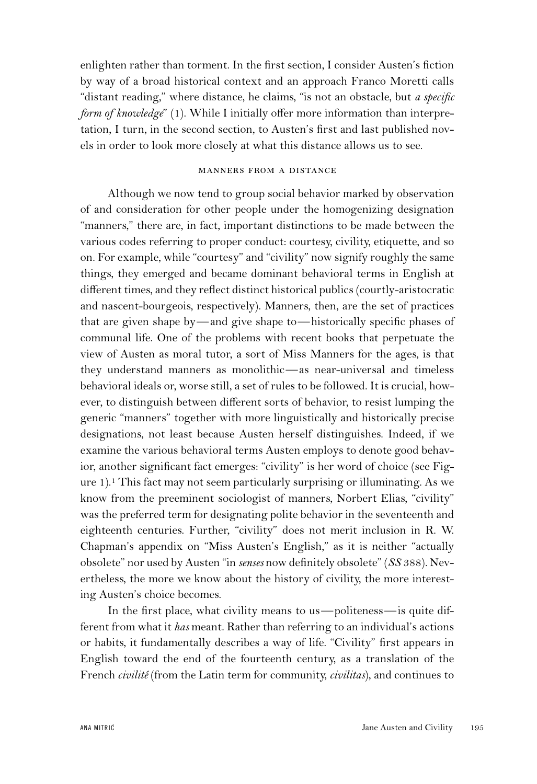enlighten rather than torment. In the first section, I consider Austen's fiction by way of a broad historical context and an approach Franco Moretti calls "distant reading," where distance, he claims, "is not an obstacle, but *a specific form of knowledge*" (1). While I initially offer more information than interpretation, I turn, in the second section, to Austen's first and last published novels in order to look more closely at what this distance allows us to see.

## manners from a distance

Although we now tend to group social behavior marked by observation of and consideration for other people under the homogenizing designation "manners," there are, in fact, important distinctions to be made between the various codes referring to proper conduct: courtesy, civility, etiquette, and so on. For example, while "courtesy" and "civility" now signify roughly the same things, they emerged and became dominant behavioral terms in English at different times, and they reflect distinct historical publics (courtly-aristocratic and nascent-bourgeois, respectively). Manners, then, are the set of practices that are given shape by—and give shape to—historically specific phases of communal life. One of the problems with recent books that perpetuate the view of Austen as moral tutor, a sort of Miss Manners for the ages, is that they understand manners as monolithic—as near-universal and timeless behavioral ideals or, worse still, a set of rules to be followed. It is crucial, however, to distinguish between different sorts of behavior, to resist lumping the generic "manners" together with more linguistically and historically precise designations, not least because Austen herself distinguishes. Indeed, if we examine the various behavioral terms Austen employs to denote good behavior, another significant fact emerges: "civility" is her word of choice (see Figure  $1$ ).<sup>1</sup> This fact may not seem particularly surprising or illuminating. As we know from the preeminent sociologist of manners, Norbert Elias, "civility" was the preferred term for designating polite behavior in the seventeenth and eighteenth centuries. Further, "civility" does not merit inclusion in R. W. Chapman's appendix on "Miss Austen's English," as it is neither "actually obsolete" nor used by Austen "in *senses* now definitely obsolete" (*SS* 388). Nevertheless, the more we know about the history of civility, the more interesting Austen's choice becomes.

In the first place, what civility means to us—politeness—is quite different from what it *has* meant. Rather than referring to an individual's actions or habits, it fundamentally describes a way of life. "Civility" first appears in English toward the end of the fourteenth century, as a translation of the French *civilité* (from the Latin term for community, *civilitas*), and continues to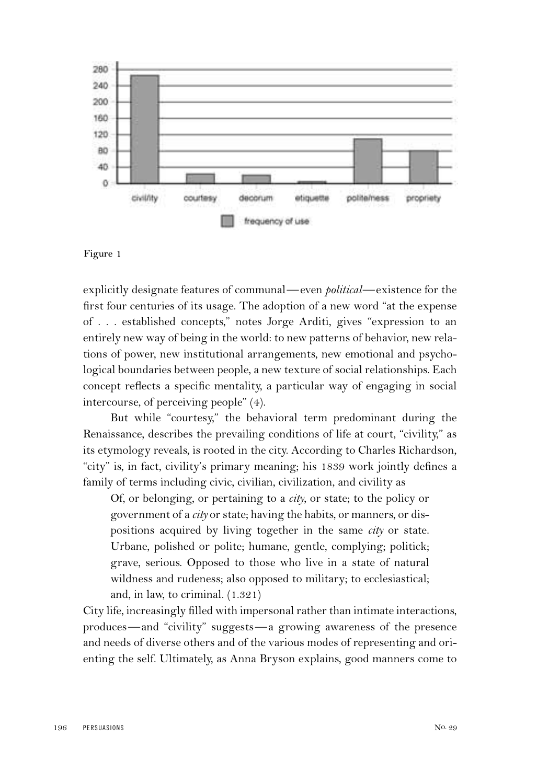

**Figure 1**

explicitly designate features of communal—even *political*—existence for the first four centuries of its usage. The adoption of a new word "at the expense of . . . established concepts," notes Jorge Arditi, gives "expression to an entirely new way of being in the world: to new patterns of behavior, new relations of power, new institutional arrangements, new emotional and psychological boundaries between people, a new texture of social relationships. Each concept reflects a specific mentality, a particular way of engaging in social intercourse, of perceiving people" (4).

But while "courtesy," the behavioral term predominant during the Renaissance, describes the prevailing conditions of life at court, "civility," as its etymology reveals, is rooted in the city. According to Charles Richardson, "city" is, in fact, civility's primary meaning; his 1839 work jointly defines a family of terms including civic, civilian, civilization, and civility as

Of, or belonging, or pertaining to a *city*, or state; to the policy or government of a *city* or state; having the habits, or manners, or dispositions acquired by living together in the same *city* or state. Urbane, polished or polite; humane, gentle, complying; politick; grave, serious. Opposed to those who live in a state of natural wildness and rudeness; also opposed to military; to ecclesiastical; and, in law, to criminal. (1.321)

City life, increasingly filled with impersonal rather than intimate interactions, produces—and "civility" suggests—a growing awareness of the presence and needs of diverse others and of the various modes of representing and orienting the self. Ultimately, as Anna Bryson explains, good manners come to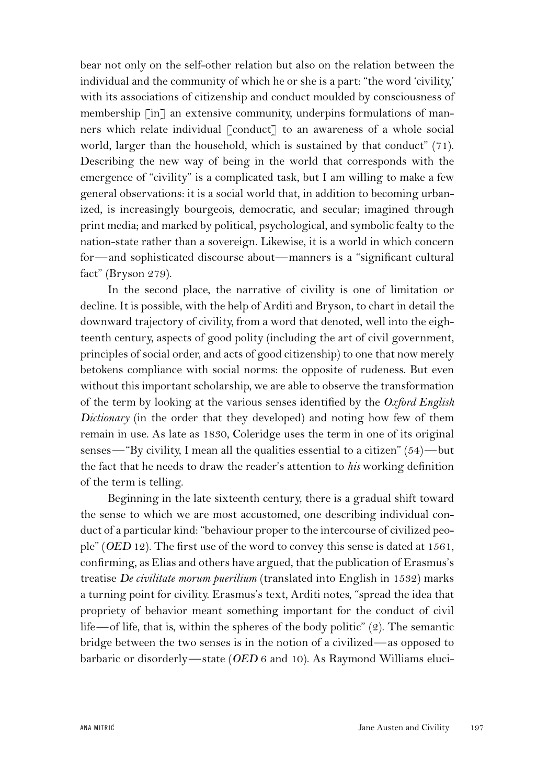bear not only on the self-other relation but also on the relation between the individual and the community of which he or she is a part: "the word 'civility,' with its associations of citizenship and conduct moulded by consciousness of membership [in] an extensive community, underpins formulations of manners which relate individual [conduct] to an awareness of a whole social world, larger than the household, which is sustained by that conduct" (71). Describing the new way of being in the world that corresponds with the emergence of "civility" is a complicated task, but I am willing to make a few general observations: it is a social world that, in addition to becoming urbanized, is increasingly bourgeois, democratic, and secular; imagined through print media; and marked by political, psychological, and symbolic fealty to the nation-state rather than a sovereign. Likewise, it is a world in which concern for—and sophisticated discourse about—manners is a "significant cultural fact" (Bryson 279).

In the second place, the narrative of civility is one of limitation or decline. It is possible, with the help of Arditi and Bryson, to chart in detail the downward trajectory of civility, from a word that denoted, well into the eighteenth century, aspects of good polity (including the art of civil government, principles of social order, and acts of good citizenship) to one that now merely betokens compliance with social norms: the opposite of rudeness. But even without this important scholarship, we are able to observe the transformation of the term by looking at the various senses identified by the *Oxford English Dictionary* (in the order that they developed) and noting how few of them remain in use. As late as 1830, Coleridge uses the term in one of its original senses—"By civility, I mean all the qualities essential to a citizen" (54)—but the fact that he needs to draw the reader's attention to *his* working definition of the term is telling.

Beginning in the late sixteenth century, there is a gradual shift toward the sense to which we are most accustomed, one describing individual conduct of a particular kind: "behaviour proper to the intercourse of civilized people" (*OED* 12). The first use of the word to convey this sense is dated at 1561, confirming, as Elias and others have argued, that the publication of Erasmus's treatise *De civilitate morum puerilium* (translated into English in 1532) marks a turning point for civility. Erasmus's text, Arditi notes, "spread the idea that propriety of behavior meant something important for the conduct of civil life—of life, that is, within the spheres of the body politic" (2). The semantic bridge between the two senses is in the notion of a civilized—as opposed to barbaric or disorderly—state (*OED* 6 and 10). As Raymond Williams eluci-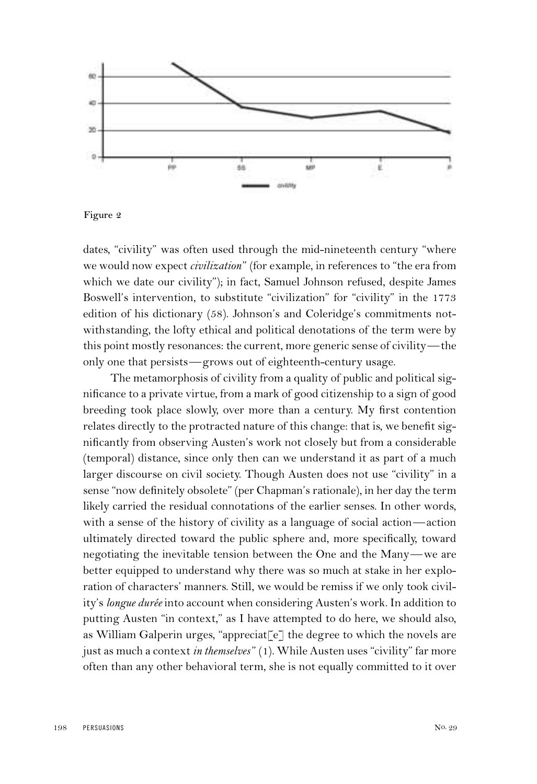

**Figure 2**

dates, "civility" was often used through the mid-nineteenth century "where we would now expect *civilization*" (for example, in references to "the era from which we date our civility"); in fact, Samuel Johnson refused, despite James Boswell's intervention, to substitute "civilization" for "civility" in the 1773 edition of his dictionary (58). Johnson's and Coleridge's commitments notwithstanding, the lofty ethical and political denotations of the term were by this point mostly resonances: the current, more generic sense of civility—the only one that persists—grows out of eighteenth-century usage.

The metamorphosis of civility from a quality of public and political significance to a private virtue, from a mark of good citizenship to a sign of good breeding took place slowly, over more than a century. My first contention relates directly to the protracted nature of this change: that is, we benefit significantly from observing Austen's work not closely but from a considerable (temporal) distance, since only then can we understand it as part of a much larger discourse on civil society. Though Austen does not use "civility" in a sense "now definitely obsolete" (per Chapman's rationale), in her day the term likely carried the residual connotations of the earlier senses. In other words, with a sense of the history of civility as a language of social action—action ultimately directed toward the public sphere and, more specifically, toward negotiating the inevitable tension between the One and the Many—we are better equipped to understand why there was so much at stake in her exploration of characters' manners. Still, we would be remiss if we only took civility's *longue durée* into account when considering Austen's work. In addition to putting Austen "in context," as I have attempted to do here, we should also, as William Galperin urges, "appreciat $[\epsilon]$  the degree to which the novels are just as much a context *in themselves*" (1). While Austen uses "civility" far more often than any other behavioral term, she is not equally committed to it over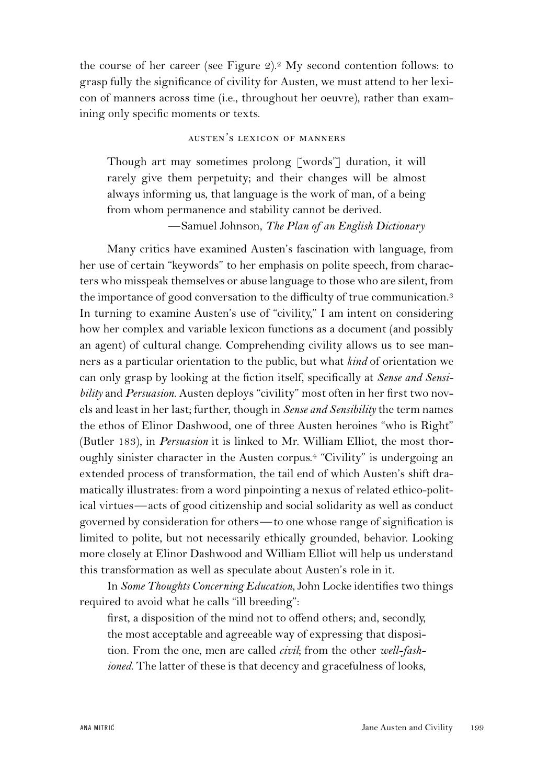the course of her career (see Figure 2).2 My second contention follows: to grasp fully the significance of civility for Austen, we must attend to her lexicon of manners across time (i.e., throughout her oeuvre), rather than examining only specific moments or texts.

## austen*'* s lexicon of manners

Though art may sometimes prolong [words'] duration, it will rarely give them perpetuity; and their changes will be almost always informing us, that language is the work of man, of a being from whom permanence and stability cannot be derived. —Samuel Johnson, *The Plan of an English Dictionary*

Many critics have examined Austen's fascination with language, from her use of certain "keywords" to her emphasis on polite speech, from characters who misspeak themselves or abuse language to those who are silent, from the importance of good conversation to the difficulty of true communication.3 In turning to examine Austen's use of "civility," I am intent on considering how her complex and variable lexicon functions as a document (and possibly an agent) of cultural change. Comprehending civility allows us to see manners as a particular orientation to the public, but what *kind* of orientation we can only grasp by looking at the fiction itself, specifically at *Sense and Sensibility* and *Persuasion*. Austen deploys "civility" most often in her first two novels and least in her last; further, though in *Sense and Sensibility* the term names the ethos of Elinor Dashwood, one of three Austen heroines "who is Right" (Butler 183), in *Persuasion* it is linked to Mr. William Elliot, the most thoroughly sinister character in the Austen corpus.4 "Civility" is undergoing an extended process of transformation, the tail end of which Austen's shift dramatically illustrates: from a word pinpointing a nexus of related ethico-political virtues—acts of good citizenship and social solidarity as well as conduct governed by consideration for others—to one whose range of signification is limited to polite, but not necessarily ethically grounded, behavior. Looking more closely at Elinor Dashwood and William Elliot will help us understand this transformation as well as speculate about Austen's role in it.

In *Some Thoughts Concerning Education*, John Locke identifies two things required to avoid what he calls "ill breeding":

first, a disposition of the mind not to offend others; and, secondly, the most acceptable and agreeable way of expressing that disposition. From the one, men are called *civil*; from the other *well-fashioned*. The latter of these is that decency and gracefulness of looks,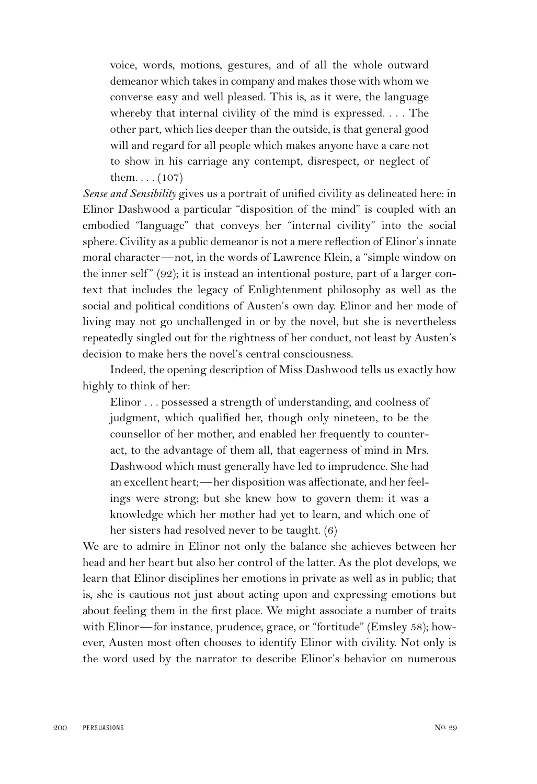voice, words, motions, gestures, and of all the whole outward demeanor which takes in company and makes those with whom we converse easy and well pleased. This is, as it were, the language whereby that internal civility of the mind is expressed. . . . The other part, which lies deeper than the outside, is that general good will and regard for all people which makes anyone have a care not to show in his carriage any contempt, disrespect, or neglect of them.  $\ldots$  (107)

*Sense and Sensibility* gives us a portrait of unified civility as delineated here: in Elinor Dashwood a particular "disposition of the mind" is coupled with an embodied "language" that conveys her "internal civility" into the social sphere. Civility as a public demeanor is not a mere reflection of Elinor's innate moral character—not, in the words of Lawrence Klein, a "simple window on the inner self"  $(92)$ ; it is instead an intentional posture, part of a larger context that includes the legacy of Enlightenment philosophy as well as the social and political conditions of Austen's own day. Elinor and her mode of living may not go unchallenged in or by the novel, but she is nevertheless repeatedly singled out for the rightness of her conduct, not least by Austen's decision to make hers the novel's central consciousness.

Indeed, the opening description of Miss Dashwood tells us exactly how highly to think of her:

Elinor . . . possessed a strength of understanding, and coolness of judgment, which qualified her, though only nineteen, to be the counsellor of her mother, and enabled her frequently to counteract, to the advantage of them all, that eagerness of mind in Mrs. Dashwood which must generally have led to imprudence. She had an excellent heart;—her disposition was affectionate, and her feelings were strong; but she knew how to govern them: it was a knowledge which her mother had yet to learn, and which one of her sisters had resolved never to be taught. (6)

We are to admire in Elinor not only the balance she achieves between her head and her heart but also her control of the latter. As the plot develops, we learn that Elinor disciplines her emotions in private as well as in public; that is, she is cautious not just about acting upon and expressing emotions but about feeling them in the first place. We might associate a number of traits with Elinor—for instance, prudence, grace, or "fortitude" (Emsley 58); however, Austen most often chooses to identify Elinor with civility. Not only is the word used by the narrator to describe Elinor's behavior on numerous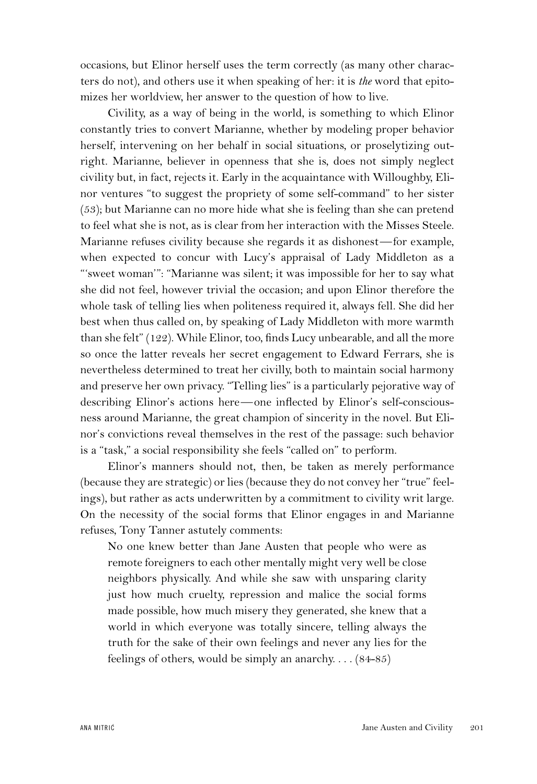occasions, but Elinor herself uses the term correctly (as many other characters do not), and others use it when speaking of her: it is *the* word that epitomizes her worldview, her answer to the question of how to live.

Civility, as a way of being in the world, is something to which Elinor constantly tries to convert Marianne, whether by modeling proper behavior herself, intervening on her behalf in social situations, or proselytizing outright. Marianne, believer in openness that she is, does not simply neglect civility but, in fact, rejects it. Early in the acquaintance with Willoughby, Elinor ventures "to suggest the propriety of some self-command" to her sister (53); but Marianne can no more hide what she is feeling than she can pretend to feel what she is not, as is clear from her interaction with the Misses Steele. Marianne refuses civility because she regards it as dishonest—for example, when expected to concur with Lucy's appraisal of Lady Middleton as a "'sweet woman'": "Marianne was silent; it was impossible for her to say what she did not feel, however trivial the occasion; and upon Elinor therefore the whole task of telling lies when politeness required it, always fell. She did her best when thus called on, by speaking of Lady Middleton with more warmth than she felt" (122). While Elinor, too, finds Lucy unbearable, and all the more so once the latter reveals her secret engagement to Edward Ferrars, she is nevertheless determined to treat her civilly, both to maintain social harmony and preserve her own privacy. "Telling lies" is a particularly pejorative way of describing Elinor's actions here—one inflected by Elinor's self-consciousness around Marianne, the great champion of sincerity in the novel. But Elinor's convictions reveal themselves in the rest of the passage: such behavior is a "task," a social responsibility she feels "called on" to perform.

Elinor's manners should not, then, be taken as merely performance (because they are strategic) or lies (because they do not convey her "true" feelings), but rather as acts underwritten by a commitment to civility writ large. On the necessity of the social forms that Elinor engages in and Marianne refuses, Tony Tanner astutely comments:

No one knew better than Jane Austen that people who were as remote foreigners to each other mentally might very well be close neighbors physically. And while she saw with unsparing clarity just how much cruelty, repression and malice the social forms made possible, how much misery they generated, she knew that a world in which everyone was totally sincere, telling always the truth for the sake of their own feelings and never any lies for the feelings of others, would be simply an anarchy. . . . (84-85)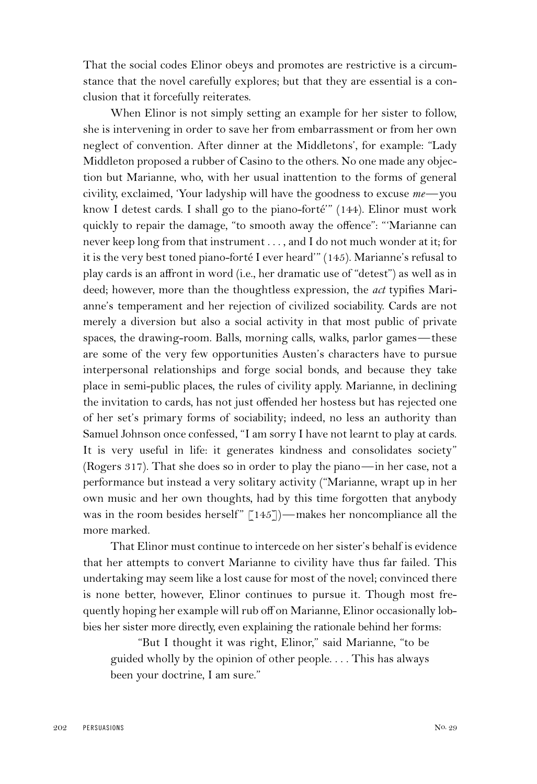That the social codes Elinor obeys and promotes are restrictive is a circumstance that the novel carefully explores; but that they are essential is a conclusion that it forcefully reiterates.

When Elinor is not simply setting an example for her sister to follow, she is intervening in order to save her from embarrassment or from her own neglect of convention. After dinner at the Middletons', for example: "Lady Middleton proposed a rubber of Casino to the others. No one made any objection but Marianne, who, with her usual inattention to the forms of general civility, exclaimed, 'Your ladyship will have the goodness to excuse *me*—you know I detest cards. I shall go to the piano-forté'" (144). Elinor must work quickly to repair the damage, "to smooth away the offence": "'Marianne can never keep long from that instrument . . . , and I do not much wonder at it; for it is the very best toned piano-forté I ever heard'" (145). Marianne's refusal to play cards is an affront in word (i.e., her dramatic use of "detest") as well as in deed; however, more than the thoughtless expression, the *act* typifies Marianne's temperament and her rejection of civilized sociability. Cards are not merely a diversion but also a social activity in that most public of private spaces, the drawing-room. Balls, morning calls, walks, parlor games—these are some of the very few opportunities Austen's characters have to pursue interpersonal relationships and forge social bonds, and because they take place in semi-public places, the rules of civility apply. Marianne, in declining the invitation to cards, has not just offended her hostess but has rejected one of her set's primary forms of sociability; indeed, no less an authority than Samuel Johnson once confessed, "I am sorry I have not learnt to play at cards. It is very useful in life: it generates kindness and consolidates society" (Rogers 317). That she does so in order to play the piano—in her case, not a performance but instead a very solitary activity ("Marianne, wrapt up in her own music and her own thoughts, had by this time forgotten that anybody was in the room besides herself"  $[145]$ )—makes her noncompliance all the more marked.

That Elinor must continue to intercede on her sister's behalf is evidence that her attempts to convert Marianne to civility have thus far failed. This undertaking may seem like a lost cause for most of the novel; convinced there is none better, however, Elinor continues to pursue it. Though most frequently hoping her example will rub off on Marianne, Elinor occasionally lobbies her sister more directly, even explaining the rationale behind her forms:

"But I thought it was right, Elinor," said Marianne, "to be guided wholly by the opinion of other people. . . . This has always been your doctrine, I am sure."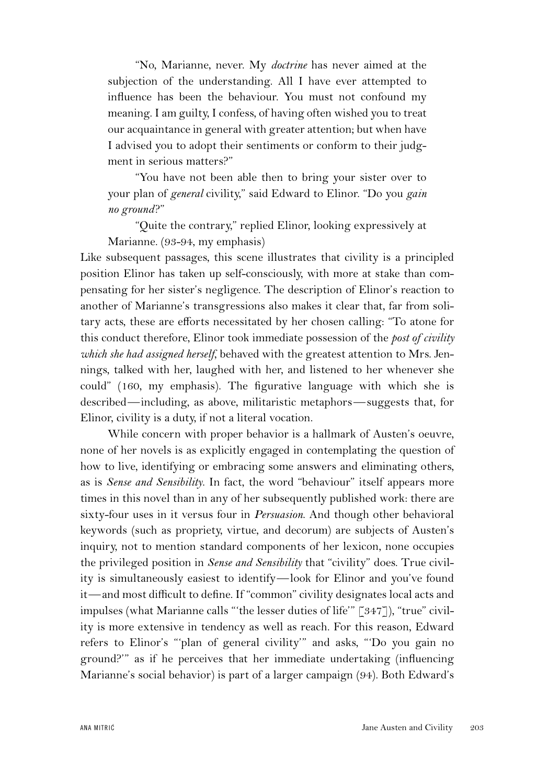"No, Marianne, never. My *doctrine* has never aimed at the subjection of the understanding. All I have ever attempted to influence has been the behaviour. You must not confound my meaning. I am guilty, I confess, of having often wished you to treat our acquaintance in general with greater attention; but when have I advised you to adopt their sentiments or conform to their judgment in serious matters?"

"You have not been able then to bring your sister over to your plan of *general* civility," said Edward to Elinor. "Do you *gain no ground*?"

"Quite the contrary," replied Elinor, looking expressively at Marianne. (93-94, my emphasis)

Like subsequent passages, this scene illustrates that civility is a principled position Elinor has taken up self-consciously, with more at stake than compensating for her sister's negligence. The description of Elinor's reaction to another of Marianne's transgressions also makes it clear that, far from solitary acts, these are efforts necessitated by her chosen calling: "To atone for this conduct therefore, Elinor took immediate possession of the *post of civility which she had assigned herself*, behaved with the greatest attention to Mrs. Jennings, talked with her, laughed with her, and listened to her whenever she could" (160, my emphasis). The figurative language with which she is described—including, as above, militaristic metaphors—suggests that, for Elinor, civility is a duty, if not a literal vocation.

While concern with proper behavior is a hallmark of Austen's oeuvre, none of her novels is as explicitly engaged in contemplating the question of how to live, identifying or embracing some answers and eliminating others, as is *Sense and Sensibility*. In fact, the word "behaviour" itself appears more times in this novel than in any of her subsequently published work: there are sixty-four uses in it versus four in *Persuasion*. And though other behavioral keywords (such as propriety, virtue, and decorum) are subjects of Austen's inquiry, not to mention standard components of her lexicon, none occupies the privileged position in *Sense and Sensibility* that "civility" does. True civility is simultaneously easiest to identify—look for Elinor and you've found it—and most difficult to define. If "common" civility designates local acts and impulses (what Marianne calls "'the lesser duties of life'" [347]), "true" civility is more extensive in tendency as well as reach. For this reason, Edward refers to Elinor's "'plan of general civility'" and asks, "'Do you gain no ground?'" as if he perceives that her immediate undertaking (influencing Marianne's social behavior) is part of a larger campaign (94). Both Edward's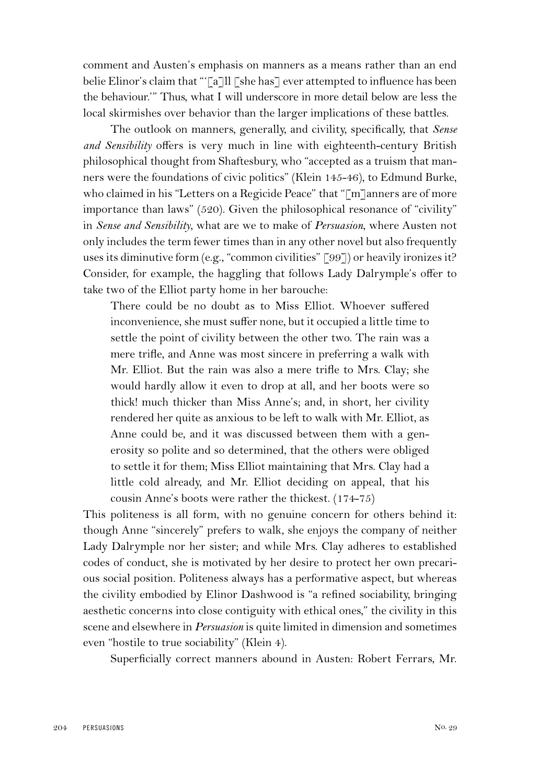comment and Austen's emphasis on manners as a means rather than an end belie Elinor's claim that "[a]ll [she has] ever attempted to influence has been the behaviour.'" Thus, what I will underscore in more detail below are less the local skirmishes over behavior than the larger implications of these battles.

The outlook on manners, generally, and civility, specifically, that *Sense and Sensibility* offers is very much in line with eighteenth-century British philosophical thought from Shaftesbury, who "accepted as a truism that manners were the foundations of civic politics" (Klein 145-46), to Edmund Burke, who claimed in his "Letters on a Regicide Peace" that "[m]anners are of more importance than laws" (520). Given the philosophical resonance of "civility" in *Sense and Sensibility*, what are we to make of *Persuasion*, where Austen not only includes the term fewer times than in any other novel but also frequently uses its diminutive form (e.g., "common civilities" [99]) or heavily ironizes it? Consider, for example, the haggling that follows Lady Dalrymple's offer to take two of the Elliot party home in her barouche:

There could be no doubt as to Miss Elliot. Whoever suffered inconvenience, she must suffer none, but it occupied a little time to settle the point of civility between the other two. The rain was a mere trifle, and Anne was most sincere in preferring a walk with Mr. Elliot. But the rain was also a mere trifle to Mrs. Clay; she would hardly allow it even to drop at all, and her boots were so thick! much thicker than Miss Anne's; and, in short, her civility rendered her quite as anxious to be left to walk with Mr. Elliot, as Anne could be, and it was discussed between them with a generosity so polite and so determined, that the others were obliged to settle it for them; Miss Elliot maintaining that Mrs. Clay had a little cold already, and Mr. Elliot deciding on appeal, that his cousin Anne's boots were rather the thickest. (174-75)

This politeness is all form, with no genuine concern for others behind it: though Anne "sincerely" prefers to walk, she enjoys the company of neither Lady Dalrymple nor her sister; and while Mrs. Clay adheres to established codes of conduct, she is motivated by her desire to protect her own precarious social position. Politeness always has a performative aspect, but whereas the civility embodied by Elinor Dashwood is "a refined sociability, bringing aesthetic concerns into close contiguity with ethical ones," the civility in this scene and elsewhere in *Persuasion* is quite limited in dimension and sometimes even "hostile to true sociability" (Klein 4).

Superficially correct manners abound in Austen: Robert Ferrars, Mr.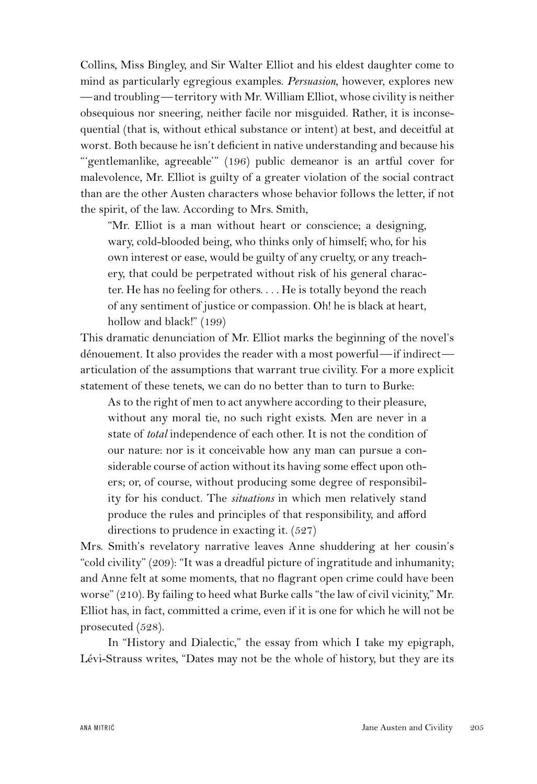Collins, Miss Bingley, and Sir Walter Elliot and his eldest daughter come to mind as particularly egregious examples. *Persuasion*, however, explores new —and troubling—territory with Mr. William Elliot, whose civility is neither obsequious nor sneering, neither facile nor misguided. Rather, it is inconsequential (that is, without ethical substance or intent) at best, and deceitful at worst. Both because he isn't deficient in native understanding and because his "'gentlemanlike, agreeable'" (196) public demeanor is an artful cover for malevolence, Mr. Elliot is guilty of a greater violation of the social contract than are the other Austen characters whose behavior follows the letter, if not the spirit, of the law. According to Mrs. Smith,

"Mr. Elliot is a man without heart or conscience; a designing, wary, cold-blooded being, who thinks only of himself; who, for his own interest or ease, would be guilty of any cruelty, or any treachery, that could be perpetrated without risk of his general character. He has no feeling for others. . . . He is totally beyond the reach of any sentiment of justice or compassion. Oh! he is black at heart, hollow and black!" (199)

This dramatic denunciation of Mr. Elliot marks the beginning of the novel's dénouement. It also provides the reader with a most powerful—if indirect articulation of the assumptions that warrant true civility. For a more explicit statement of these tenets, we can do no better than to turn to Burke:

As to the right of men to act anywhere according to their pleasure, without any moral tie, no such right exists. Men are never in a state of *total* independence of each other. It is not the condition of our nature: nor is it conceivable how any man can pursue a considerable course of action without its having some effect upon others; or, of course, without producing some degree of responsibility for his conduct. The *situations* in which men relatively stand produce the rules and principles of that responsibility, and afford directions to prudence in exacting it. (527)

Mrs. Smith's revelatory narrative leaves Anne shuddering at her cousin's "cold civility" (209): "It was a dreadful picture of ingratitude and inhumanity; and Anne felt at some moments, that no flagrant open crime could have been worse" (210). By failing to heed what Burke calls "the law of civil vicinity," Mr. Elliot has, in fact, committed a crime, even if it is one for which he will not be prosecuted (528).

In "History and Dialectic," the essay from which I take my epigraph, Lévi-Strauss writes, "Dates may not be the whole of history, but they are its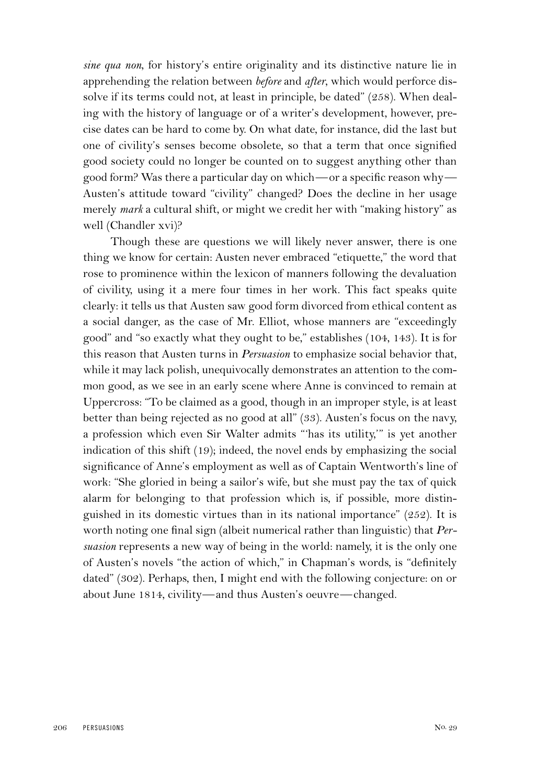*sine qua non*, for history's entire originality and its distinctive nature lie in apprehending the relation between *before* and *after*, which would perforce dissolve if its terms could not, at least in principle, be dated" (258). When dealing with the history of language or of a writer's development, however, precise dates can be hard to come by. On what date, for instance, did the last but one of civility's senses become obsolete, so that a term that once signified good society could no longer be counted on to suggest anything other than good form? Was there a particular day on which—or a specific reason why— Austen's attitude toward "civility" changed? Does the decline in her usage merely *mark* a cultural shift, or might we credit her with "making history" as well (Chandler xvi)?

Though these are questions we will likely never answer, there is one thing we know for certain: Austen never embraced "etiquette," the word that rose to prominence within the lexicon of manners following the devaluation of civility, using it a mere four times in her work. This fact speaks quite clearly: it tells us that Austen saw good form divorced from ethical content as a social danger, as the case of Mr. Elliot, whose manners are "exceedingly good" and "so exactly what they ought to be," establishes (104, 143). It is for this reason that Austen turns in *Persuasion* to emphasize social behavior that, while it may lack polish, unequivocally demonstrates an attention to the common good, as we see in an early scene where Anne is convinced to remain at Uppercross: "To be claimed as a good, though in an improper style, is at least better than being rejected as no good at all" (33). Austen's focus on the navy, a profession which even Sir Walter admits "'has its utility,'" is yet another indication of this shift (19); indeed, the novel ends by emphasizing the social significance of Anne's employment as well as of Captain Wentworth's line of work: "She gloried in being a sailor's wife, but she must pay the tax of quick alarm for belonging to that profession which is, if possible, more distinguished in its domestic virtues than in its national importance" (252). It is worth noting one final sign (albeit numerical rather than linguistic) that *Persuasion* represents a new way of being in the world: namely, it is the only one of Austen's novels "the action of which," in Chapman's words, is "definitely dated" (302). Perhaps, then, I might end with the following conjecture: on or about June 1814, civility—and thus Austen's oeuvre—changed.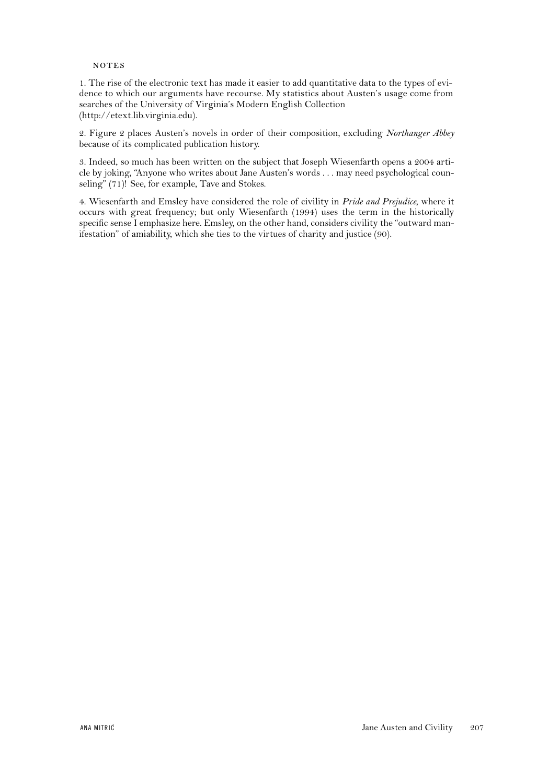### **NOTES**

1. The rise of the electronic text has made it easier to add quantitative data to the types of evidence to which our arguments have recourse. My statistics about Austen's usage come from searches of the University of Virginia's Modern English Collection (http://etext.lib.virginia.edu).

2. Figure 2 places Austen's novels in order of their composition, excluding *Northanger Abbey* because of its complicated publication history.

3. Indeed, so much has been written on the subject that Joseph Wiesenfarth opens a 2004 article by joking, "Anyone who writes about Jane Austen's words . . . may need psychological counseling" (71)! See, for example, Tave and Stokes.

4. Wiesenfarth and Emsley have considered the role of civility in *Pride and Prejudice*, where it occurs with great frequency; but only Wiesenfarth (1994) uses the term in the historically specific sense I emphasize here. Emsley, on the other hand, considers civility the "outward manifestation" of amiability, which she ties to the virtues of charity and justice (90).